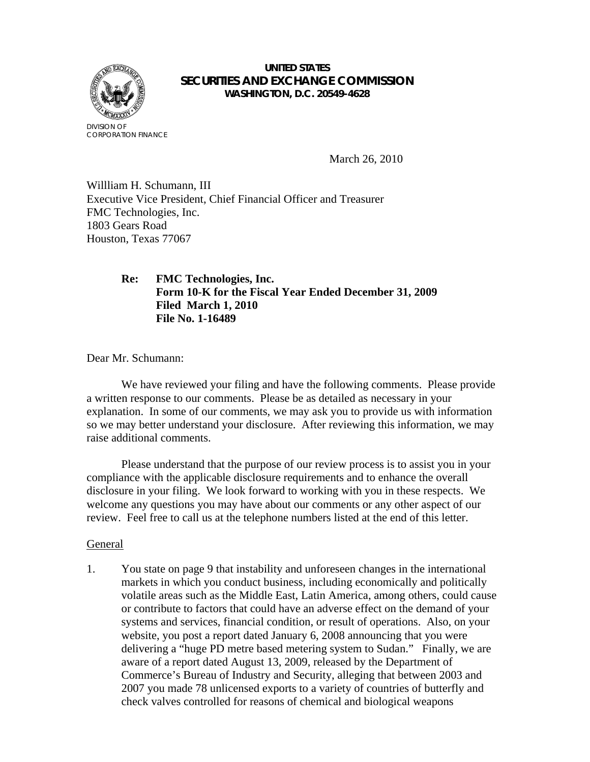

### **UNITED STATES SECURITIES AND EXCHANGE COMMISSION WASHINGTON, D.C. 20549-4628**

March 26, 2010

Willliam H. Schumann, III Executive Vice President, Chief Financial Officer and Treasurer FMC Technologies, Inc. 1803 Gears Road Houston, Texas 77067

# **Re: FMC Technologies, Inc. Form 10-K for the Fiscal Year Ended December 31, 2009 Filed March 1, 2010 File No. 1-16489**

Dear Mr. Schumann:

We have reviewed your filing and have the following comments. Please provide a written response to our comments. Please be as detailed as necessary in your explanation. In some of our comments, we may ask you to provide us with information so we may better understand your disclosure. After reviewing this information, we may raise additional comments.

 Please understand that the purpose of our review process is to assist you in your compliance with the applicable disclosure requirements and to enhance the overall disclosure in your filing. We look forward to working with you in these respects. We welcome any questions you may have about our comments or any other aspect of our review. Feel free to call us at the telephone numbers listed at the end of this letter.

#### General

1. You state on page 9 that instability and unforeseen changes in the international markets in which you conduct business, including economically and politically volatile areas such as the Middle East, Latin America, among others, could cause or contribute to factors that could have an adverse effect on the demand of your systems and services, financial condition, or result of operations. Also, on your website, you post a report dated January 6, 2008 announcing that you were delivering a "huge PD metre based metering system to Sudan." Finally, we are aware of a report dated August 13, 2009, released by the Department of Commerce's Bureau of Industry and Security, alleging that between 2003 and 2007 you made 78 unlicensed exports to a variety of countries of butterfly and check valves controlled for reasons of chemical and biological weapons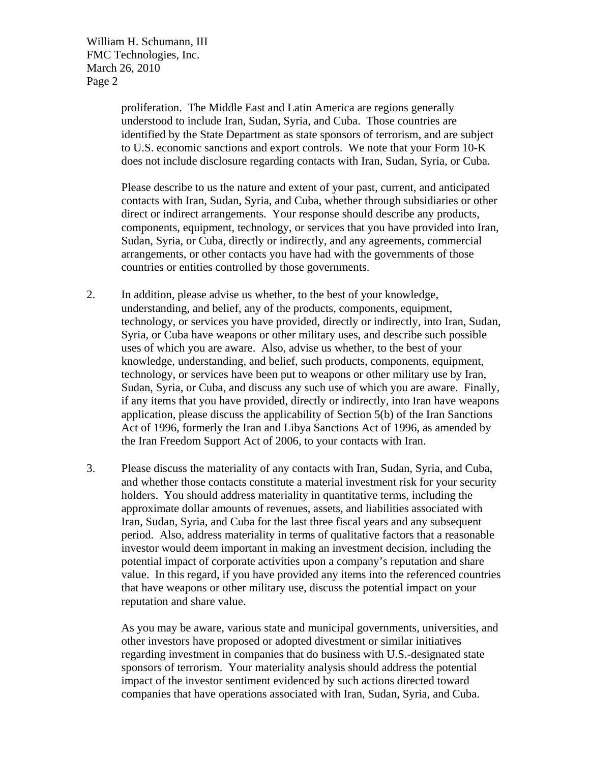William H. Schumann, III FMC Technologies, Inc. March 26, 2010 Page 2

> proliferation. The Middle East and Latin America are regions generally understood to include Iran, Sudan, Syria, and Cuba. Those countries are identified by the State Department as state sponsors of terrorism, and are subject to U.S. economic sanctions and export controls. We note that your Form 10-K does not include disclosure regarding contacts with Iran, Sudan, Syria, or Cuba.

Please describe to us the nature and extent of your past, current, and anticipated contacts with Iran, Sudan, Syria, and Cuba, whether through subsidiaries or other direct or indirect arrangements. Your response should describe any products, components, equipment, technology, or services that you have provided into Iran, Sudan, Syria, or Cuba, directly or indirectly, and any agreements, commercial arrangements, or other contacts you have had with the governments of those countries or entities controlled by those governments.

- 2. In addition, please advise us whether, to the best of your knowledge, understanding, and belief, any of the products, components, equipment, technology, or services you have provided, directly or indirectly, into Iran, Sudan, Syria, or Cuba have weapons or other military uses, and describe such possible uses of which you are aware. Also, advise us whether, to the best of your knowledge, understanding, and belief, such products, components, equipment, technology, or services have been put to weapons or other military use by Iran, Sudan, Syria, or Cuba, and discuss any such use of which you are aware. Finally, if any items that you have provided, directly or indirectly, into Iran have weapons application, please discuss the applicability of Section 5(b) of the Iran Sanctions Act of 1996, formerly the Iran and Libya Sanctions Act of 1996, as amended by the Iran Freedom Support Act of 2006, to your contacts with Iran.
- 3. Please discuss the materiality of any contacts with Iran, Sudan, Syria, and Cuba, and whether those contacts constitute a material investment risk for your security holders. You should address materiality in quantitative terms, including the approximate dollar amounts of revenues, assets, and liabilities associated with Iran, Sudan, Syria, and Cuba for the last three fiscal years and any subsequent period. Also, address materiality in terms of qualitative factors that a reasonable investor would deem important in making an investment decision, including the potential impact of corporate activities upon a company's reputation and share value. In this regard, if you have provided any items into the referenced countries that have weapons or other military use, discuss the potential impact on your reputation and share value.

As you may be aware, various state and municipal governments, universities, and other investors have proposed or adopted divestment or similar initiatives regarding investment in companies that do business with U.S.-designated state sponsors of terrorism. Your materiality analysis should address the potential impact of the investor sentiment evidenced by such actions directed toward companies that have operations associated with Iran, Sudan, Syria, and Cuba.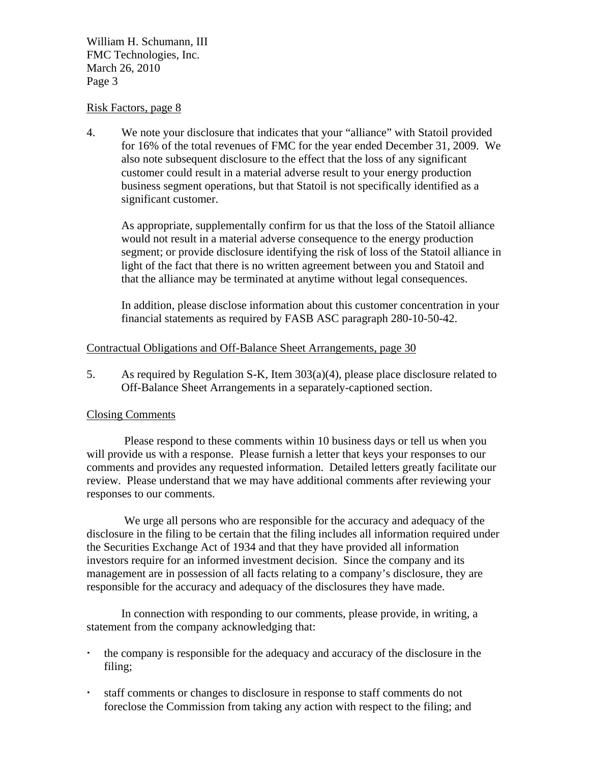William H. Schumann, III FMC Technologies, Inc. March 26, 2010 Page 3

## Risk Factors, page 8

4. We note your disclosure that indicates that your "alliance" with Statoil provided for 16% of the total revenues of FMC for the year ended December 31, 2009. We also note subsequent disclosure to the effect that the loss of any significant customer could result in a material adverse result to your energy production business segment operations, but that Statoil is not specifically identified as a significant customer.

As appropriate, supplementally confirm for us that the loss of the Statoil alliance would not result in a material adverse consequence to the energy production segment; or provide disclosure identifying the risk of loss of the Statoil alliance in light of the fact that there is no written agreement between you and Statoil and that the alliance may be terminated at anytime without legal consequences.

In addition, please disclose information about this customer concentration in your financial statements as required by FASB ASC paragraph 280-10-50-42.

## Contractual Obligations and Off-Balance Sheet Arrangements, page 30

5. As required by Regulation S-K, Item 303(a)(4), please place disclosure related to Off-Balance Sheet Arrangements in a separately-captioned section.

#### Closing Comments

 Please respond to these comments within 10 business days or tell us when you will provide us with a response. Please furnish a letter that keys your responses to our comments and provides any requested information. Detailed letters greatly facilitate our review. Please understand that we may have additional comments after reviewing your responses to our comments.

 We urge all persons who are responsible for the accuracy and adequacy of the disclosure in the filing to be certain that the filing includes all information required under the Securities Exchange Act of 1934 and that they have provided all information investors require for an informed investment decision. Since the company and its management are in possession of all facts relating to a company's disclosure, they are responsible for the accuracy and adequacy of the disclosures they have made.

 In connection with responding to our comments, please provide, in writing, a statement from the company acknowledging that:

- the company is responsible for the adequacy and accuracy of the disclosure in the filing;
- staff comments or changes to disclosure in response to staff comments do not foreclose the Commission from taking any action with respect to the filing; and